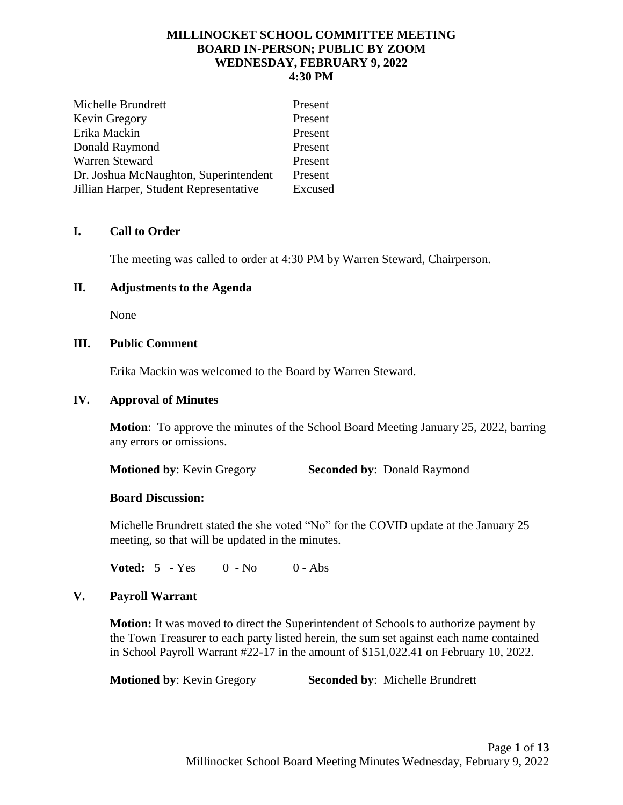## **MILLINOCKET SCHOOL COMMITTEE MEETING BOARD IN-PERSON; PUBLIC BY ZOOM WEDNESDAY, FEBRUARY 9, 2022 4:30 PM**

| Michelle Brundrett                     | Present |
|----------------------------------------|---------|
| Kevin Gregory                          | Present |
| Erika Mackin                           | Present |
| Donald Raymond                         | Present |
| Warren Steward                         | Present |
| Dr. Joshua McNaughton, Superintendent  | Present |
| Jillian Harper, Student Representative | Excused |

# **I. Call to Order**

The meeting was called to order at 4:30 PM by Warren Steward, Chairperson.

## **II. Adjustments to the Agenda**

None

# **III. Public Comment**

Erika Mackin was welcomed to the Board by Warren Steward.

## **IV. Approval of Minutes**

**Motion**: To approve the minutes of the School Board Meeting January 25, 2022, barring any errors or omissions.

**Motioned by: Kevin Gregory Seconded by: Donald Raymond** 

## **Board Discussion:**

Michelle Brundrett stated the she voted "No" for the COVID update at the January 25 meeting, so that will be updated in the minutes.

**Voted:** 5 - Yes 0 - No 0 - Abs

## **V. Payroll Warrant**

**Motion:** It was moved to direct the Superintendent of Schools to authorize payment by the Town Treasurer to each party listed herein, the sum set against each name contained in School Payroll Warrant #22-17 in the amount of \$151,022.41 on February 10, 2022.

**Motioned by: Kevin Gregory Seconded by: Michelle Brundrett**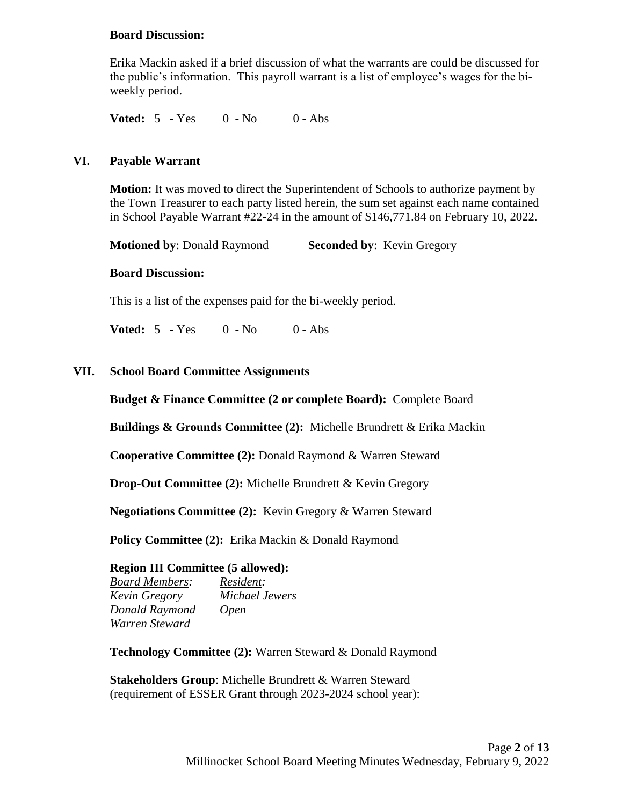## **Board Discussion:**

Erika Mackin asked if a brief discussion of what the warrants are could be discussed for the public's information. This payroll warrant is a list of employee's wages for the biweekly period.

**Voted:**  $5 - Yes$  0 - No 0 - Abs

### **VI. Payable Warrant**

**Motion:** It was moved to direct the Superintendent of Schools to authorize payment by the Town Treasurer to each party listed herein, the sum set against each name contained in School Payable Warrant #22-24 in the amount of \$146,771.84 on February 10, 2022.

**Motioned by**: Donald Raymond **Seconded by**: Kevin Gregory

#### **Board Discussion:**

This is a list of the expenses paid for the bi-weekly period.

**Voted:** 5 - Yes 0 - No 0 - Abs

#### **VII. School Board Committee Assignments**

#### **Budget & Finance Committee (2 or complete Board):** Complete Board

**Buildings & Grounds Committee (2):** Michelle Brundrett & Erika Mackin

**Cooperative Committee (2):** Donald Raymond & Warren Steward

**Drop-Out Committee (2):** Michelle Brundrett & Kevin Gregory

**Negotiations Committee (2):** Kevin Gregory & Warren Steward

**Policy Committee (2):** Erika Mackin & Donald Raymond

### **Region III Committee (5 allowed):**

*Board Members: Resident: Kevin Gregory Michael Jewers Donald Raymond Open Warren Steward*

**Technology Committee (2):** Warren Steward & Donald Raymond

**Stakeholders Group**: Michelle Brundrett & Warren Steward (requirement of ESSER Grant through 2023-2024 school year):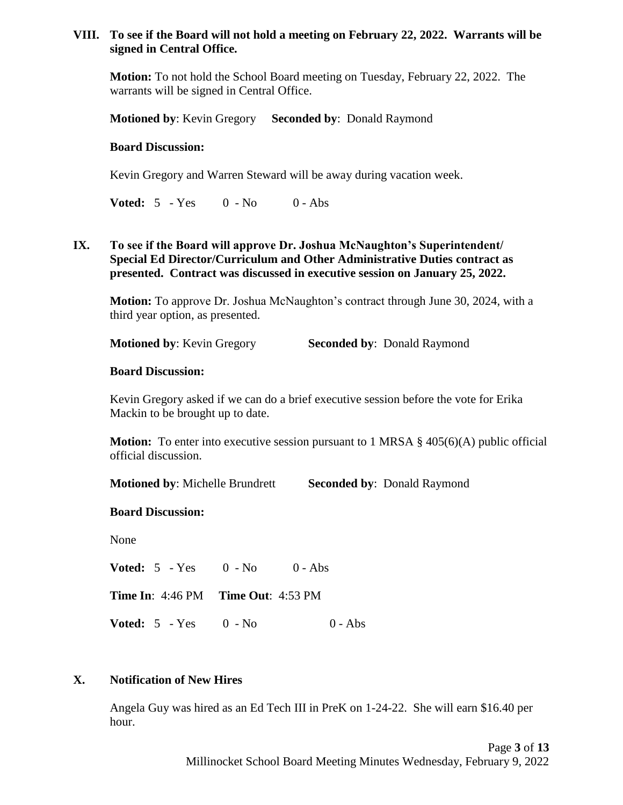## **VIII. To see if the Board will not hold a meeting on February 22, 2022. Warrants will be signed in Central Office.**

**Motion:** To not hold the School Board meeting on Tuesday, February 22, 2022. The warrants will be signed in Central Office.

**Motioned by**: Kevin Gregory **Seconded by**: Donald Raymond

### **Board Discussion:**

Kevin Gregory and Warren Steward will be away during vacation week.

**Voted:** 5 - Yes 0 - No 0 - Abs

# **IX. To see if the Board will approve Dr. Joshua McNaughton's Superintendent/ Special Ed Director/Curriculum and Other Administrative Duties contract as presented. Contract was discussed in executive session on January 25, 2022.**

**Motion:** To approve Dr. Joshua McNaughton's contract through June 30, 2024, with a third year option, as presented.

**Motioned by: Kevin Gregory Seconded by: Donald Raymond** 

## **Board Discussion:**

Kevin Gregory asked if we can do a brief executive session before the vote for Erika Mackin to be brought up to date.

**Motion:** To enter into executive session pursuant to 1 MRSA § 405(6)(A) public official official discussion.

**Motioned by**: Michelle Brundrett **Seconded by**: Donald Raymond

#### **Board Discussion:**

None

**Voted:** 5 - Yes 0 - No 0 - Abs **Time In**: 4:46 PM **Time Out**: 4:53 PM **Voted:** 5 - Yes 0 - No 0 - Abs

## **X. Notification of New Hires**

Angela Guy was hired as an Ed Tech III in PreK on 1-24-22. She will earn \$16.40 per hour.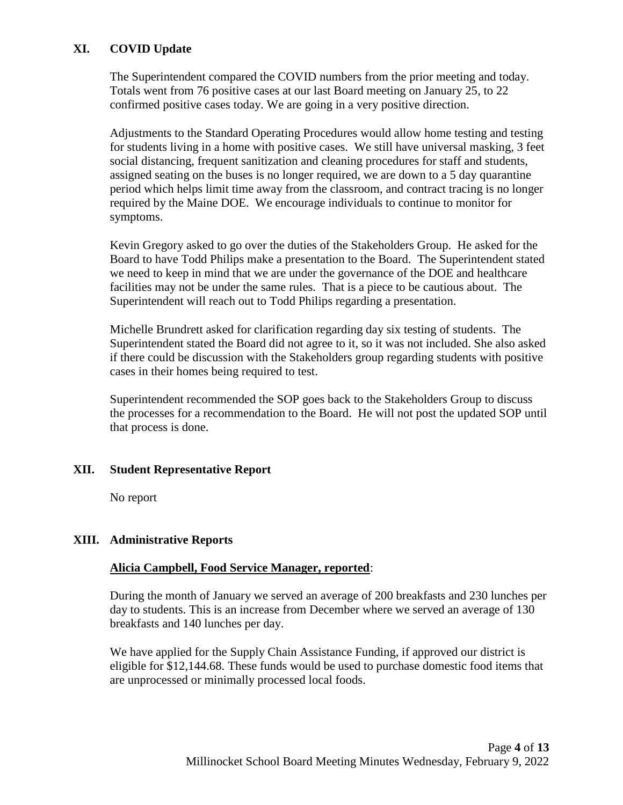# **XI. COVID Update**

The Superintendent compared the COVID numbers from the prior meeting and today. Totals went from 76 positive cases at our last Board meeting on January 25, to 22 confirmed positive cases today. We are going in a very positive direction.

Adjustments to the Standard Operating Procedures would allow home testing and testing for students living in a home with positive cases. We still have universal masking, 3 feet social distancing, frequent sanitization and cleaning procedures for staff and students, assigned seating on the buses is no longer required, we are down to a 5 day quarantine period which helps limit time away from the classroom, and contract tracing is no longer required by the Maine DOE. We encourage individuals to continue to monitor for symptoms.

Kevin Gregory asked to go over the duties of the Stakeholders Group. He asked for the Board to have Todd Philips make a presentation to the Board. The Superintendent stated we need to keep in mind that we are under the governance of the DOE and healthcare facilities may not be under the same rules. That is a piece to be cautious about. The Superintendent will reach out to Todd Philips regarding a presentation.

Michelle Brundrett asked for clarification regarding day six testing of students. The Superintendent stated the Board did not agree to it, so it was not included. She also asked if there could be discussion with the Stakeholders group regarding students with positive cases in their homes being required to test.

Superintendent recommended the SOP goes back to the Stakeholders Group to discuss the processes for a recommendation to the Board. He will not post the updated SOP until that process is done.

## **XII. Student Representative Report**

No report

# **XIII. Administrative Reports**

## **Alicia Campbell, Food Service Manager, reported**:

During the month of January we served an average of 200 breakfasts and 230 lunches per day to students. This is an increase from December where we served an average of 130 breakfasts and 140 lunches per day.

We have applied for the Supply Chain Assistance Funding, if approved our district is eligible for \$12,144.68. These funds would be used to purchase domestic food items that are unprocessed or minimally processed local foods.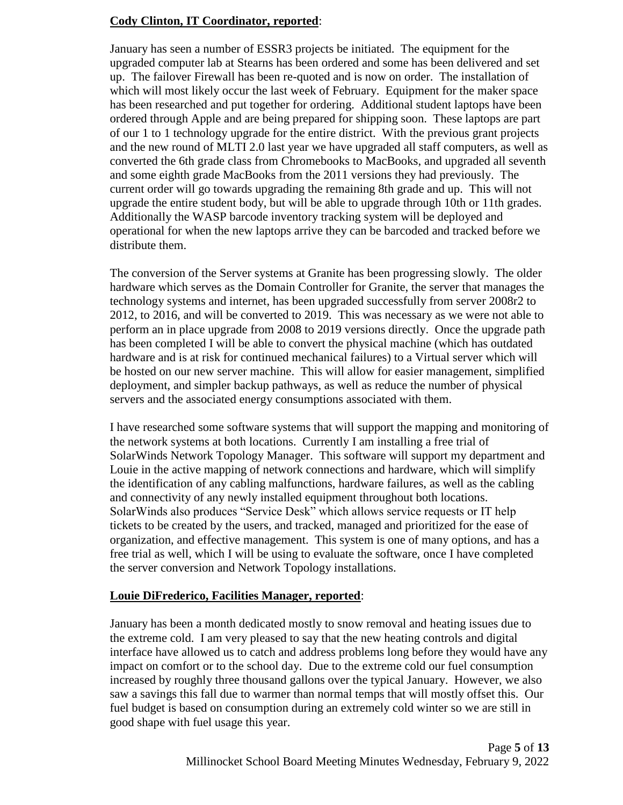# **Cody Clinton, IT Coordinator, reported**:

January has seen a number of ESSR3 projects be initiated. The equipment for the upgraded computer lab at Stearns has been ordered and some has been delivered and set up. The failover Firewall has been re-quoted and is now on order. The installation of which will most likely occur the last week of February. Equipment for the maker space has been researched and put together for ordering. Additional student laptops have been ordered through Apple and are being prepared for shipping soon. These laptops are part of our 1 to 1 technology upgrade for the entire district. With the previous grant projects and the new round of MLTI 2.0 last year we have upgraded all staff computers, as well as converted the 6th grade class from Chromebooks to MacBooks, and upgraded all seventh and some eighth grade MacBooks from the 2011 versions they had previously. The current order will go towards upgrading the remaining 8th grade and up. This will not upgrade the entire student body, but will be able to upgrade through 10th or 11th grades. Additionally the WASP barcode inventory tracking system will be deployed and operational for when the new laptops arrive they can be barcoded and tracked before we distribute them.

The conversion of the Server systems at Granite has been progressing slowly. The older hardware which serves as the Domain Controller for Granite, the server that manages the technology systems and internet, has been upgraded successfully from server 2008r2 to 2012, to 2016, and will be converted to 2019. This was necessary as we were not able to perform an in place upgrade from 2008 to 2019 versions directly. Once the upgrade path has been completed I will be able to convert the physical machine (which has outdated hardware and is at risk for continued mechanical failures) to a Virtual server which will be hosted on our new server machine. This will allow for easier management, simplified deployment, and simpler backup pathways, as well as reduce the number of physical servers and the associated energy consumptions associated with them.

I have researched some software systems that will support the mapping and monitoring of the network systems at both locations. Currently I am installing a free trial of SolarWinds Network Topology Manager. This software will support my department and Louie in the active mapping of network connections and hardware, which will simplify the identification of any cabling malfunctions, hardware failures, as well as the cabling and connectivity of any newly installed equipment throughout both locations. SolarWinds also produces "Service Desk" which allows service requests or IT help tickets to be created by the users, and tracked, managed and prioritized for the ease of organization, and effective management. This system is one of many options, and has a free trial as well, which I will be using to evaluate the software, once I have completed the server conversion and Network Topology installations.

## **Louie DiFrederico, Facilities Manager, reported**:

January has been a month dedicated mostly to snow removal and heating issues due to the extreme cold. I am very pleased to say that the new heating controls and digital interface have allowed us to catch and address problems long before they would have any impact on comfort or to the school day. Due to the extreme cold our fuel consumption increased by roughly three thousand gallons over the typical January. However, we also saw a savings this fall due to warmer than normal temps that will mostly offset this. Our fuel budget is based on consumption during an extremely cold winter so we are still in good shape with fuel usage this year.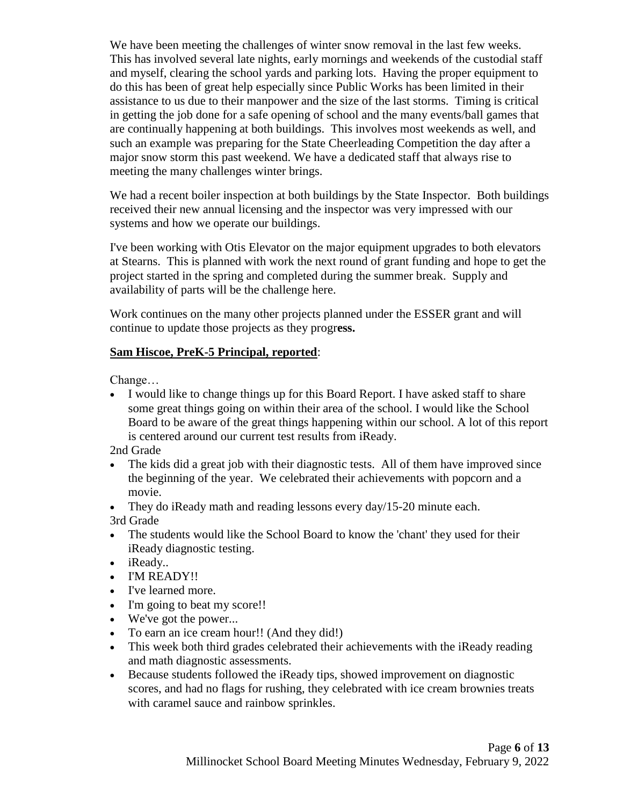We have been meeting the challenges of winter snow removal in the last few weeks. This has involved several late nights, early mornings and weekends of the custodial staff and myself, clearing the school yards and parking lots. Having the proper equipment to do this has been of great help especially since Public Works has been limited in their assistance to us due to their manpower and the size of the last storms. Timing is critical in getting the job done for a safe opening of school and the many events/ball games that are continually happening at both buildings. This involves most weekends as well, and such an example was preparing for the State Cheerleading Competition the day after a major snow storm this past weekend. We have a dedicated staff that always rise to meeting the many challenges winter brings.

We had a recent boiler inspection at both buildings by the State Inspector. Both buildings received their new annual licensing and the inspector was very impressed with our systems and how we operate our buildings.

I've been working with Otis Elevator on the major equipment upgrades to both elevators at Stearns. This is planned with work the next round of grant funding and hope to get the project started in the spring and completed during the summer break. Supply and availability of parts will be the challenge here.

Work continues on the many other projects planned under the ESSER grant and will continue to update those projects as they progr**ess.** 

# **Sam Hiscoe, PreK-5 Principal, reported**:

Change…

 I would like to change things up for this Board Report. I have asked staff to share some great things going on within their area of the school. I would like the School Board to be aware of the great things happening within our school. A lot of this report is centered around our current test results from iReady.

2nd Grade

- The kids did a great job with their diagnostic tests. All of them have improved since the beginning of the year. We celebrated their achievements with popcorn and a movie.
- They do iReady math and reading lessons every day/15-20 minute each.

3rd Grade

- The students would like the School Board to know the 'chant' they used for their iReady diagnostic testing.
- iReady..
- I'M READY!!
- I've learned more.
- I'm going to beat my score!!
- We've got the power...
- To earn an ice cream hour!! (And they did!)
- This week both third grades celebrated their achievements with the iReady reading and math diagnostic assessments.
- Because students followed the iReady tips, showed improvement on diagnostic scores, and had no flags for rushing, they celebrated with ice cream brownies treats with caramel sauce and rainbow sprinkles.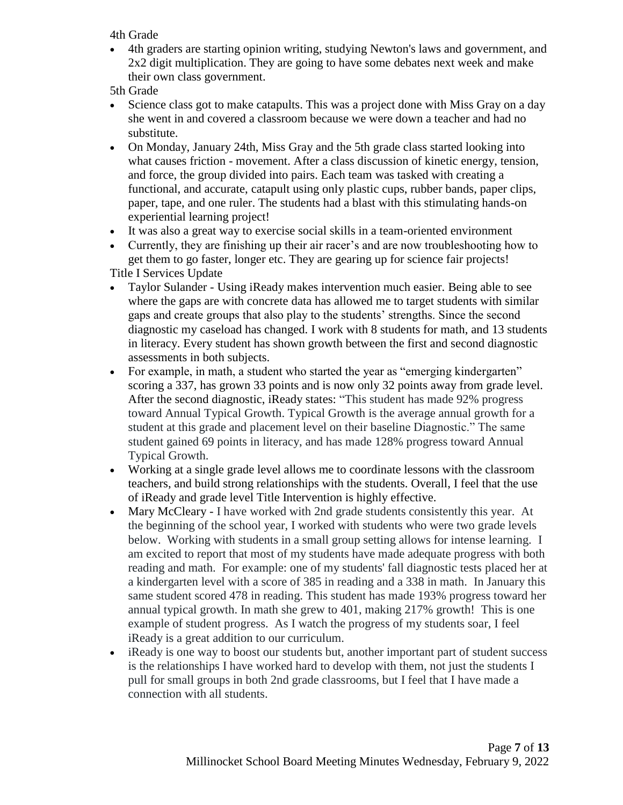4th Grade

 4th graders are starting opinion writing, studying Newton's laws and government, and 2x2 digit multiplication. They are going to have some debates next week and make their own class government.

5th Grade

- Science class got to make catapults. This was a project done with Miss Gray on a day she went in and covered a classroom because we were down a teacher and had no substitute.
- On Monday, January 24th, Miss Gray and the 5th grade class started looking into what causes friction - movement. After a class discussion of kinetic energy, tension, and force, the group divided into pairs. Each team was tasked with creating a functional, and accurate, catapult using only plastic cups, rubber bands, paper clips, paper, tape, and one ruler. The students had a blast with this stimulating hands-on experiential learning project!
- It was also a great way to exercise social skills in a team-oriented environment
- Currently, they are finishing up their air racer's and are now troubleshooting how to get them to go faster, longer etc. They are gearing up for science fair projects! Title I Services Update
- Taylor Sulander Using iReady makes intervention much easier. Being able to see where the gaps are with concrete data has allowed me to target students with similar gaps and create groups that also play to the students' strengths. Since the second diagnostic my caseload has changed. I work with 8 students for math, and 13 students in literacy. Every student has shown growth between the first and second diagnostic assessments in both subjects.
- For example, in math, a student who started the year as "emerging kindergarten" scoring a 337, has grown 33 points and is now only 32 points away from grade level. After the second diagnostic, iReady states: "This student has made 92% progress toward Annual Typical Growth. Typical Growth is the average annual growth for a student at this grade and placement level on their baseline Diagnostic." The same student gained 69 points in literacy, and has made 128% progress toward Annual Typical Growth.
- Working at a single grade level allows me to coordinate lessons with the classroom teachers, and build strong relationships with the students. Overall, I feel that the use of iReady and grade level Title Intervention is highly effective.
- Mary McCleary I have worked with 2nd grade students consistently this year. At the beginning of the school year, I worked with students who were two grade levels below. Working with students in a small group setting allows for intense learning. I am excited to report that most of my students have made adequate progress with both reading and math. For example: one of my students' fall diagnostic tests placed her at a kindergarten level with a score of 385 in reading and a 338 in math. In January this same student scored 478 in reading. This student has made 193% progress toward her annual typical growth. In math she grew to 401, making 217% growth! This is one example of student progress. As I watch the progress of my students soar, I feel iReady is a great addition to our curriculum.
- iReady is one way to boost our students but, another important part of student success is the relationships I have worked hard to develop with them, not just the students I pull for small groups in both 2nd grade classrooms, but I feel that I have made a connection with all students.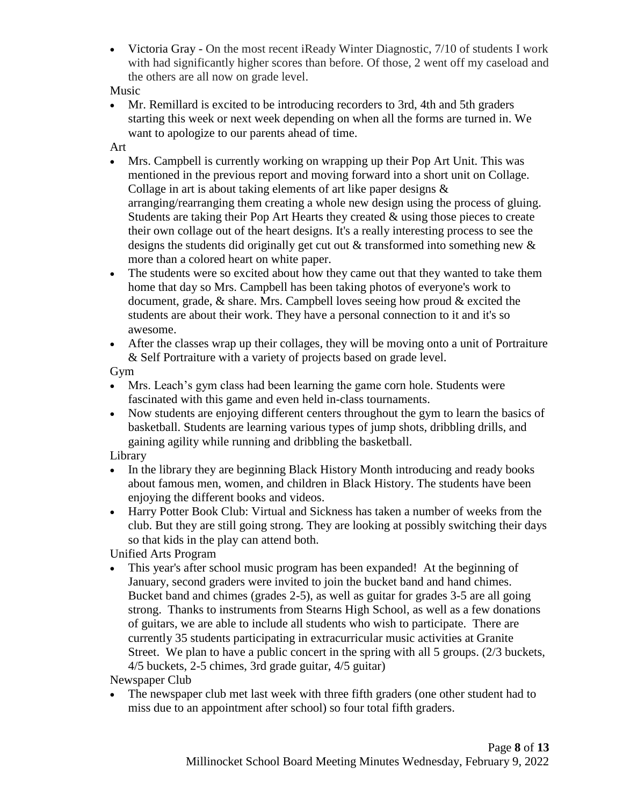Victoria Gray - On the most recent iReady Winter Diagnostic, 7/10 of students I work with had significantly higher scores than before. Of those, 2 went off my caseload and the others are all now on grade level.

Music

 Mr. Remillard is excited to be introducing recorders to 3rd, 4th and 5th graders starting this week or next week depending on when all the forms are turned in. We want to apologize to our parents ahead of time.

Art

- Mrs. Campbell is currently working on wrapping up their Pop Art Unit. This was mentioned in the previous report and moving forward into a short unit on Collage. Collage in art is about taking elements of art like paper designs & arranging/rearranging them creating a whole new design using the process of gluing. Students are taking their Pop Art Hearts they created  $\&$  using those pieces to create their own collage out of the heart designs. It's a really interesting process to see the designs the students did originally get cut out & transformed into something new & more than a colored heart on white paper.
- The students were so excited about how they came out that they wanted to take them home that day so Mrs. Campbell has been taking photos of everyone's work to document, grade, & share. Mrs. Campbell loves seeing how proud & excited the students are about their work. They have a personal connection to it and it's so awesome.
- After the classes wrap up their collages, they will be moving onto a unit of Portraiture & Self Portraiture with a variety of projects based on grade level.

Gym

- Mrs. Leach's gym class had been learning the game corn hole. Students were fascinated with this game and even held in-class tournaments.
- Now students are enjoying different centers throughout the gym to learn the basics of basketball. Students are learning various types of jump shots, dribbling drills, and gaining agility while running and dribbling the basketball.

Library

- In the library they are beginning Black History Month introducing and ready books about famous men, women, and children in Black History. The students have been enjoying the different books and videos.
- Harry Potter Book Club: Virtual and Sickness has taken a number of weeks from the club. But they are still going strong. They are looking at possibly switching their days so that kids in the play can attend both.

Unified Arts Program

 This year's after school music program has been expanded! At the beginning of January, second graders were invited to join the bucket band and hand chimes. Bucket band and chimes (grades 2-5), as well as guitar for grades 3-5 are all going strong. Thanks to instruments from Stearns High School, as well as a few donations of guitars, we are able to include all students who wish to participate. There are currently 35 students participating in extracurricular music activities at Granite Street. We plan to have a public concert in the spring with all 5 groups. (2/3 buckets, 4/5 buckets, 2-5 chimes, 3rd grade guitar, 4/5 guitar)

Newspaper Club

• The newspaper club met last week with three fifth graders (one other student had to miss due to an appointment after school) so four total fifth graders.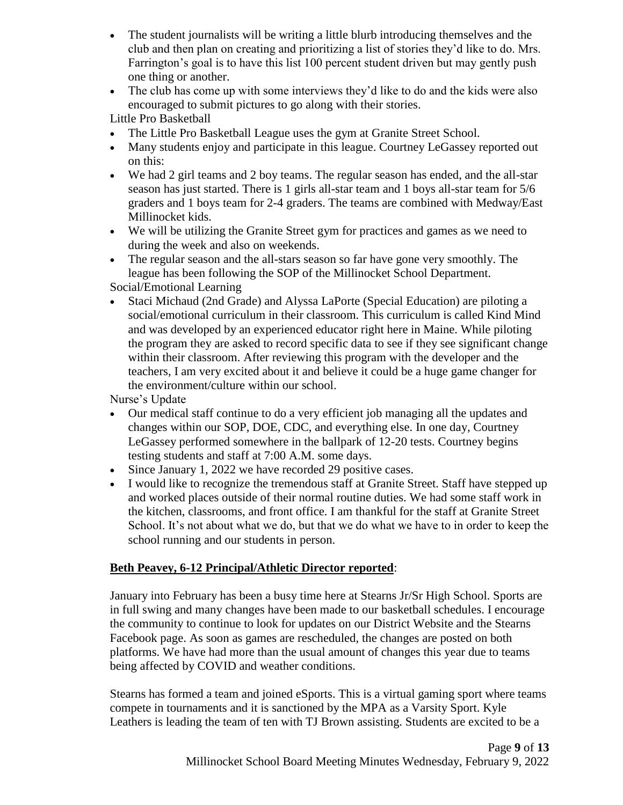- The student journalists will be writing a little blurb introducing themselves and the club and then plan on creating and prioritizing a list of stories they'd like to do. Mrs. Farrington's goal is to have this list 100 percent student driven but may gently push one thing or another.
- The club has come up with some interviews they'd like to do and the kids were also encouraged to submit pictures to go along with their stories.

Little Pro Basketball

- The Little Pro Basketball League uses the gym at Granite Street School.
- Many students enjoy and participate in this league. Courtney LeGassey reported out on this:
- We had 2 girl teams and 2 boy teams. The regular season has ended, and the all-star season has just started. There is 1 girls all-star team and 1 boys all-star team for 5/6 graders and 1 boys team for 2-4 graders. The teams are combined with Medway/East Millinocket kids.
- We will be utilizing the Granite Street gym for practices and games as we need to during the week and also on weekends.
- The regular season and the all-stars season so far have gone very smoothly. The league has been following the SOP of the Millinocket School Department. Social/Emotional Learning
- Staci Michaud (2nd Grade) and Alyssa LaPorte (Special Education) are piloting a social/emotional curriculum in their classroom. This curriculum is called Kind Mind and was developed by an experienced educator right here in Maine. While piloting the program they are asked to record specific data to see if they see significant change within their classroom. After reviewing this program with the developer and the teachers, I am very excited about it and believe it could be a huge game changer for the environment/culture within our school.

Nurse's Update

- Our medical staff continue to do a very efficient job managing all the updates and changes within our SOP, DOE, CDC, and everything else. In one day, Courtney LeGassey performed somewhere in the ballpark of 12-20 tests. Courtney begins testing students and staff at 7:00 A.M. some days.
- Since January 1, 2022 we have recorded 29 positive cases.
- I would like to recognize the tremendous staff at Granite Street. Staff have stepped up and worked places outside of their normal routine duties. We had some staff work in the kitchen, classrooms, and front office. I am thankful for the staff at Granite Street School. It's not about what we do, but that we do what we have to in order to keep the school running and our students in person.

# **Beth Peavey, 6-12 Principal/Athletic Director reported**:

January into February has been a busy time here at Stearns Jr/Sr High School. Sports are in full swing and many changes have been made to our basketball schedules. I encourage the community to continue to look for updates on our District Website and the Stearns Facebook page. As soon as games are rescheduled, the changes are posted on both platforms. We have had more than the usual amount of changes this year due to teams being affected by COVID and weather conditions.

Stearns has formed a team and joined eSports. This is a virtual gaming sport where teams compete in tournaments and it is sanctioned by the MPA as a Varsity Sport. Kyle Leathers is leading the team of ten with TJ Brown assisting. Students are excited to be a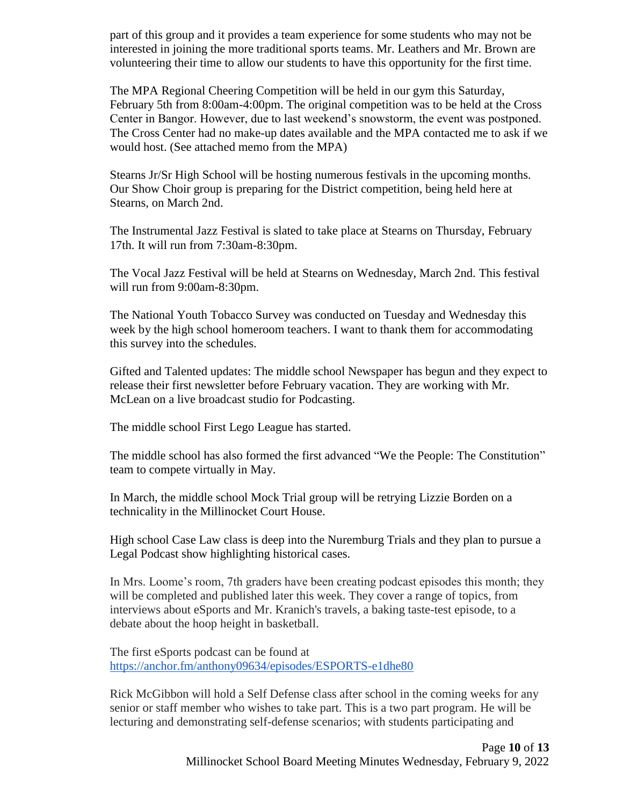part of this group and it provides a team experience for some students who may not be interested in joining the more traditional sports teams. Mr. Leathers and Mr. Brown are volunteering their time to allow our students to have this opportunity for the first time.

The MPA Regional Cheering Competition will be held in our gym this Saturday, February 5th from 8:00am-4:00pm. The original competition was to be held at the Cross Center in Bangor. However, due to last weekend's snowstorm, the event was postponed. The Cross Center had no make-up dates available and the MPA contacted me to ask if we would host. (See attached memo from the MPA)

Stearns Jr/Sr High School will be hosting numerous festivals in the upcoming months. Our Show Choir group is preparing for the District competition, being held here at Stearns, on March 2nd.

The Instrumental Jazz Festival is slated to take place at Stearns on Thursday, February 17th. It will run from 7:30am-8:30pm.

The Vocal Jazz Festival will be held at Stearns on Wednesday, March 2nd. This festival will run from 9:00am-8:30pm.

The National Youth Tobacco Survey was conducted on Tuesday and Wednesday this week by the high school homeroom teachers. I want to thank them for accommodating this survey into the schedules.

Gifted and Talented updates: The middle school Newspaper has begun and they expect to release their first newsletter before February vacation. They are working with Mr. McLean on a live broadcast studio for Podcasting.

The middle school First Lego League has started.

The middle school has also formed the first advanced "We the People: The Constitution" team to compete virtually in May.

In March, the middle school Mock Trial group will be retrying Lizzie Borden on a technicality in the Millinocket Court House.

High school Case Law class is deep into the Nuremburg Trials and they plan to pursue a Legal Podcast show highlighting historical cases.

In Mrs. Loome's room, 7th graders have been creating podcast episodes this month; they will be completed and published later this week. They cover a range of topics, from interviews about eSports and Mr. Kranich's travels, a baking taste-test episode, to a debate about the hoop height in basketball.

The first eSports podcast can be found at <https://anchor.fm/anthony09634/episodes/ESPORTS-e1dhe80>

Rick McGibbon will hold a Self Defense class after school in the coming weeks for any senior or staff member who wishes to take part. This is a two part program. He will be lecturing and demonstrating self-defense scenarios; with students participating and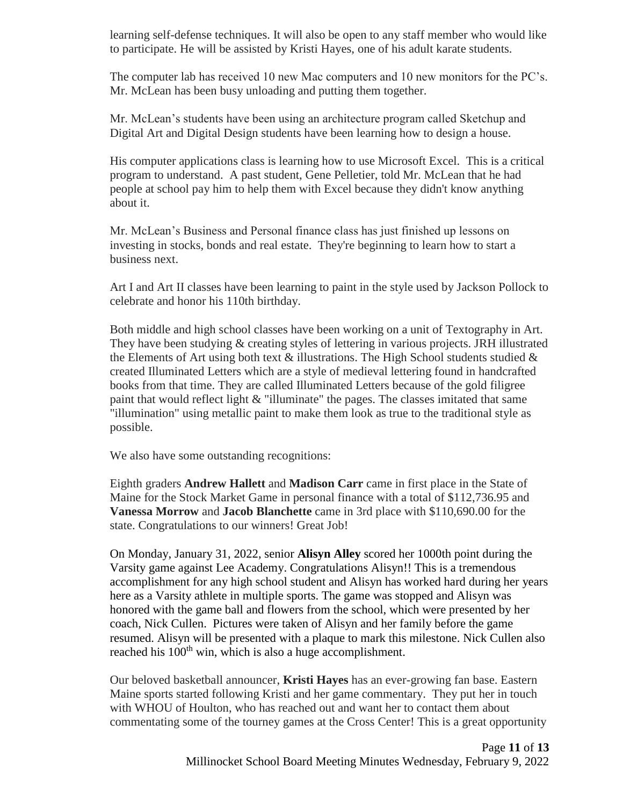learning self-defense techniques. It will also be open to any staff member who would like to participate. He will be assisted by Kristi Hayes, one of his adult karate students.

The computer lab has received 10 new Mac computers and 10 new monitors for the PC's. Mr. McLean has been busy unloading and putting them together.

Mr. McLean's students have been using an architecture program called Sketchup and Digital Art and Digital Design students have been learning how to design a house.

His computer applications class is learning how to use Microsoft Excel. This is a critical program to understand. A past student, Gene Pelletier, told Mr. McLean that he had people at school pay him to help them with Excel because they didn't know anything about it.

Mr. McLean's Business and Personal finance class has just finished up lessons on investing in stocks, bonds and real estate. They're beginning to learn how to start a business next.

Art I and Art II classes have been learning to paint in the style used by Jackson Pollock to celebrate and honor his 110th birthday.

Both middle and high school classes have been working on a unit of Textography in Art. They have been studying & creating styles of lettering in various projects. JRH illustrated the Elements of Art using both text  $\&$  illustrations. The High School students studied  $\&$ created Illuminated Letters which are a style of medieval lettering found in handcrafted books from that time. They are called Illuminated Letters because of the gold filigree paint that would reflect light & "illuminate" the pages. The classes imitated that same "illumination" using metallic paint to make them look as true to the traditional style as possible.

We also have some outstanding recognitions:

Eighth graders **Andrew Hallett** and **Madison Carr** came in first place in the State of Maine for the Stock Market Game in personal finance with a total of \$112,736.95 and **Vanessa Morrow** and **Jacob Blanchette** came in 3rd place with \$110,690.00 for the state. Congratulations to our winners! Great Job!

On Monday, January 31, 2022, senior **Alisyn Alley** scored her 1000th point during the Varsity game against Lee Academy. Congratulations Alisyn!! This is a tremendous accomplishment for any high school student and Alisyn has worked hard during her years here as a Varsity athlete in multiple sports. The game was stopped and Alisyn was honored with the game ball and flowers from the school, which were presented by her coach, Nick Cullen. Pictures were taken of Alisyn and her family before the game resumed. Alisyn will be presented with a plaque to mark this milestone. Nick Cullen also reached his 100<sup>th</sup> win, which is also a huge accomplishment.

Our beloved basketball announcer, **Kristi Hayes** has an ever-growing fan base. Eastern Maine sports started following Kristi and her game commentary. They put her in touch with WHOU of Houlton, who has reached out and want her to contact them about commentating some of the tourney games at the Cross Center! This is a great opportunity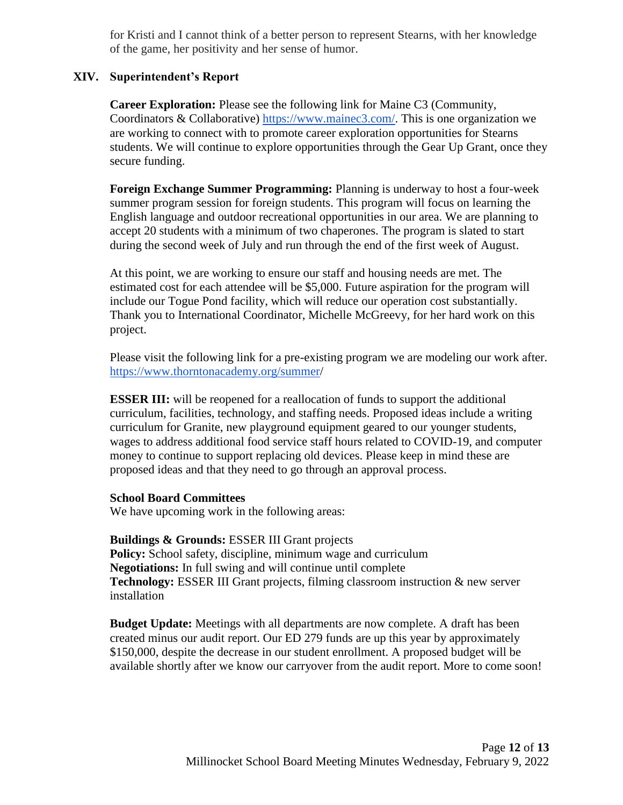for Kristi and I cannot think of a better person to represent Stearns, with her knowledge of the game, her positivity and her sense of humor.

# **XIV. Superintendent's Report**

**Career Exploration:** Please see the following link for Maine C3 (Community, Coordinators & Collaborative) [https://www.mainec3.com/.](https://www.mainec3.com/) This is one organization we are working to connect with to promote career exploration opportunities for Stearns students. We will continue to explore opportunities through the Gear Up Grant, once they secure funding.

**Foreign Exchange Summer Programming:** Planning is underway to host a four-week summer program session for foreign students. This program will focus on learning the English language and outdoor recreational opportunities in our area. We are planning to accept 20 students with a minimum of two chaperones. The program is slated to start during the second week of July and run through the end of the first week of August.

At this point, we are working to ensure our staff and housing needs are met. The estimated cost for each attendee will be \$5,000. Future aspiration for the program will include our Togue Pond facility, which will reduce our operation cost substantially. Thank you to International Coordinator, Michelle McGreevy, for her hard work on this project.

Please visit the following link for a pre-existing program we are modeling our work after. [https://www.thorntonacademy.org/summer/](https://www.thorntonacademy.org/summer)

**ESSER III:** will be reopened for a reallocation of funds to support the additional curriculum, facilities, technology, and staffing needs. Proposed ideas include a writing curriculum for Granite, new playground equipment geared to our younger students, wages to address additional food service staff hours related to COVID-19, and computer money to continue to support replacing old devices. Please keep in mind these are proposed ideas and that they need to go through an approval process.

## **School Board Committees**

We have upcoming work in the following areas:

**Buildings & Grounds:** ESSER III Grant projects **Policy:** School safety, discipline, minimum wage and curriculum **Negotiations:** In full swing and will continue until complete **Technology: ESSER III Grant projects, filming classroom instruction & new server** installation

**Budget Update:** Meetings with all departments are now complete. A draft has been created minus our audit report. Our ED 279 funds are up this year by approximately \$150,000, despite the decrease in our student enrollment. A proposed budget will be available shortly after we know our carryover from the audit report. More to come soon!